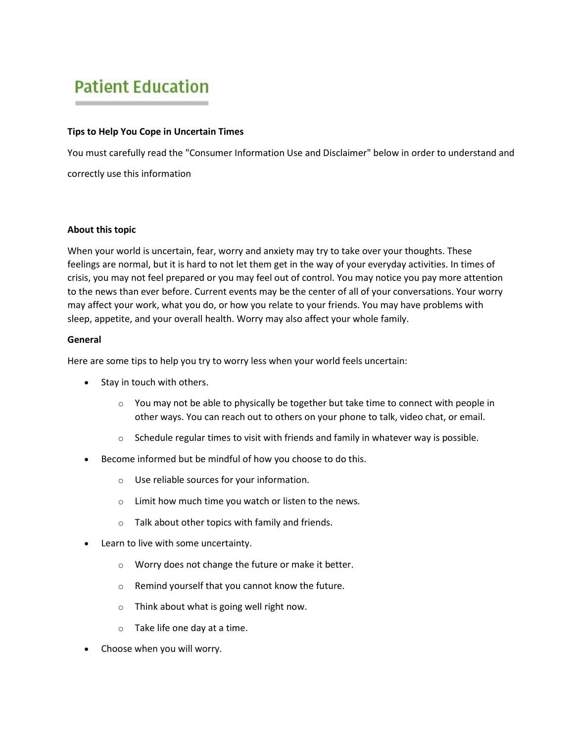# **Patient Education**

## **Tips to Help You Cope in Uncertain Times**

You must carefully read the "Consumer Information Use and Disclaimer" below in order to understand and correctly use this information

## **About this topic**

When your world is uncertain, fear, worry and anxiety may try to take over your thoughts. These feelings are normal, but it is hard to not let them get in the way of your everyday activities. In times of crisis, you may not feel prepared or you may feel out of control. You may notice you pay more attention to the news than ever before. Current events may be the center of all of your conversations. Your worry may affect your work, what you do, or how you relate to your friends. You may have problems with sleep, appetite, and your overall health. Worry may also affect your whole family.

## **General**

Here are some tips to help you try to worry less when your world feels uncertain:

- Stay in touch with others.
	- $\circ$  You may not be able to physically be together but take time to connect with people in other ways. You can reach out to others on your phone to talk, video chat, or email.
	- $\circ$  Schedule regular times to visit with friends and family in whatever way is possible.
- Become informed but be mindful of how you choose to do this.
	- o Use reliable sources for your information.
	- o Limit how much time you watch or listen to the news.
	- $\circ$  Talk about other topics with family and friends.
- Learn to live with some uncertainty.
	- o Worry does not change the future or make it better.
	- o Remind yourself that you cannot know the future.
	- o Think about what is going well right now.
	- o Take life one day at a time.
- Choose when you will worry.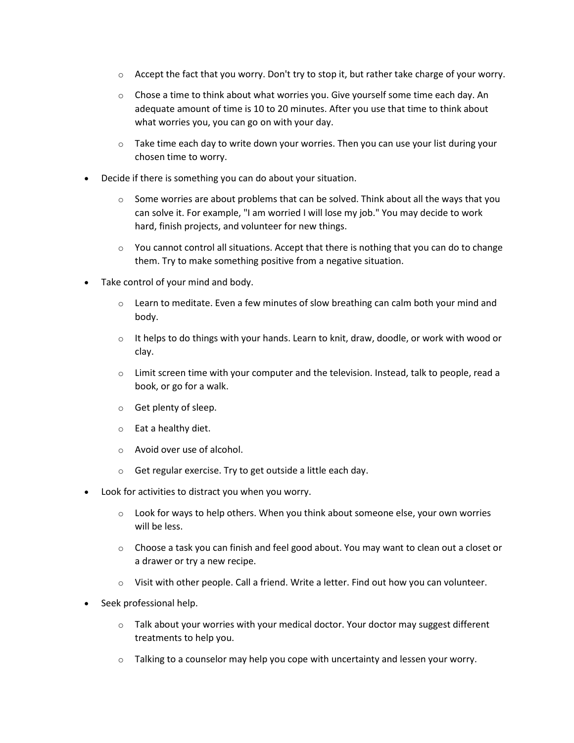- $\circ$  Accept the fact that you worry. Don't try to stop it, but rather take charge of your worry.
- $\circ$  Chose a time to think about what worries you. Give yourself some time each day. An adequate amount of time is 10 to 20 minutes. After you use that time to think about what worries you, you can go on with your day.
- $\circ$  Take time each day to write down your worries. Then you can use your list during your chosen time to worry.
- Decide if there is something you can do about your situation.
	- $\circ$  Some worries are about problems that can be solved. Think about all the ways that you can solve it. For example, "I am worried I will lose my job." You may decide to work hard, finish projects, and volunteer for new things.
	- $\circ$  You cannot control all situations. Accept that there is nothing that you can do to change them. Try to make something positive from a negative situation.
- Take control of your mind and body.
	- $\circ$  Learn to meditate. Even a few minutes of slow breathing can calm both your mind and body.
	- $\circ$  It helps to do things with your hands. Learn to knit, draw, doodle, or work with wood or clay.
	- $\circ$  Limit screen time with your computer and the television. Instead, talk to people, read a book, or go for a walk.
	- o Get plenty of sleep.
	- o Eat a healthy diet.
	- o Avoid over use of alcohol.
	- o Get regular exercise. Try to get outside a little each day.
- Look for activities to distract you when you worry.
	- $\circ$  Look for ways to help others. When you think about someone else, your own worries will be less.
	- $\circ$  Choose a task you can finish and feel good about. You may want to clean out a closet or a drawer or try a new recipe.
	- $\circ$  Visit with other people. Call a friend. Write a letter. Find out how you can volunteer.
- Seek professional help.
	- $\circ$  Talk about your worries with your medical doctor. Your doctor may suggest different treatments to help you.
	- $\circ$  Talking to a counselor may help you cope with uncertainty and lessen your worry.